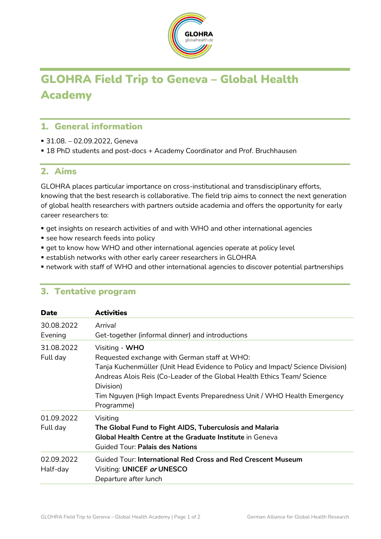

# GLOHRA Field Trip to Geneva – Global Health Academy

### 1. General information

- 31.08. 02.09.2022, Geneva
- 18 PhD students and post-docs + Academy Coordinator and Prof. Bruchhausen

#### 2. Aims

GLOHRA places particular importance on cross-institutional and transdisciplinary efforts, knowing that the best research is collaborative. The field trip aims to connect the next generation of global health researchers with partners outside academia and offers the opportunity for early career researchers to:

- get insights on research activities of and with WHO and other international agencies
- **see how research feeds into policy**
- **qet to know how WHO and other international agencies operate at policy level**
- **Example 1** establish networks with other early career researchers in GLOHRA
- network with staff of WHO and other international agencies to discover potential partnerships

| <b>Date</b>            | <b>Activities</b>                                                                                                                                                                                                                                                                                                                 |
|------------------------|-----------------------------------------------------------------------------------------------------------------------------------------------------------------------------------------------------------------------------------------------------------------------------------------------------------------------------------|
| 30.08.2022<br>Evening  | Arrival<br>Get-together (informal dinner) and introductions                                                                                                                                                                                                                                                                       |
| 31.08.2022<br>Full day | Visiting - WHO<br>Requested exchange with German staff at WHO:<br>Tanja Kuchenmüller (Unit Head Evidence to Policy and Impact/ Science Division)<br>Andreas Alois Reis (Co-Leader of the Global Health Ethics Team/ Science<br>Division)<br>Tim Nguyen (High Impact Events Preparedness Unit / WHO Health Emergency<br>Programme) |
| 01.09.2022<br>Full day | Visiting<br>The Global Fund to Fight AIDS, Tuberculosis and Malaria<br><b>Global Health Centre at the Graduate Institute in Geneva</b><br><b>Guided Tour: Palais des Nations</b>                                                                                                                                                  |
| 02.09.2022<br>Half-day | Guided Tour: International Red Cross and Red Crescent Museum<br>Visiting: UNICEF or UNESCO<br>Departure after lunch                                                                                                                                                                                                               |

## 3. Tentative program